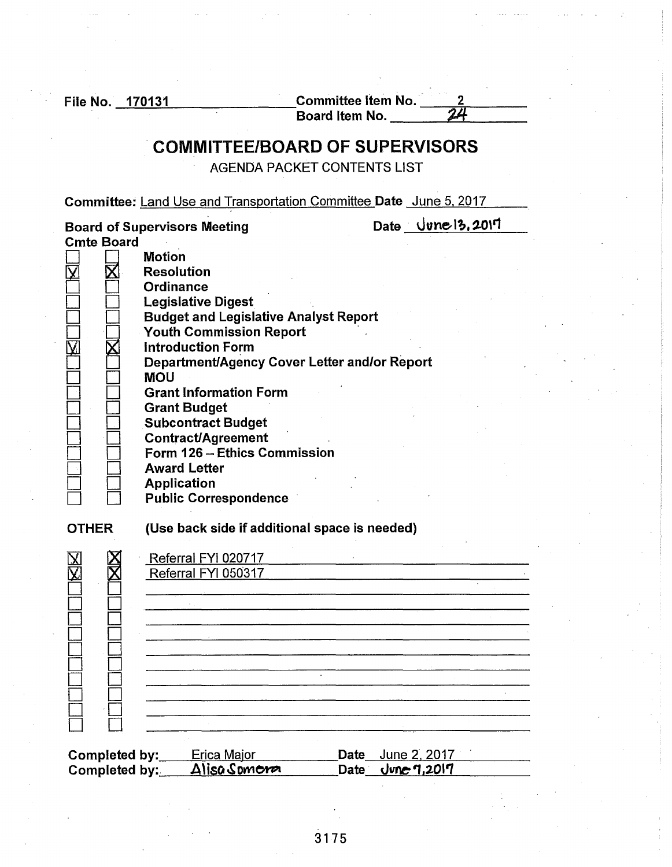File No.  $\frac{170131}{\text{Board item No.}}$ 

# . COMMITTEE/BOARD OF SUPERVISORS

AGENDA PACKET CONTENTS LIST

Committee: Land Use and Transportation Committee Date June 5. 2017

|                   | <b>Board of Supervisors Meeting</b>                                                                                                                                                                                                                                                                                                                                                                        |                   | Date $\bigcup \text{one} \{3,20\}$ |
|-------------------|------------------------------------------------------------------------------------------------------------------------------------------------------------------------------------------------------------------------------------------------------------------------------------------------------------------------------------------------------------------------------------------------------------|-------------------|------------------------------------|
| <b>Cmte Board</b> |                                                                                                                                                                                                                                                                                                                                                                                                            |                   |                                    |
|                   | <b>Motion</b><br><b>Resolution</b><br>Ordinance<br><b>Legislative Digest</b><br><b>Budget and Legislative Analyst Report</b><br><b>Youth Commission Report</b><br><b>Introduction Form</b><br>Department/Agency Cover Letter and/or Report<br><b>MOU</b><br><b>Grant Information Form</b><br><b>Grant Budget</b><br><b>Subcontract Budget</b><br><b>Contract/Agreement</b><br>Form 126 - Ethics Commission |                   |                                    |
|                   | <b>Award Letter</b>                                                                                                                                                                                                                                                                                                                                                                                        |                   |                                    |
|                   | <b>Application</b>                                                                                                                                                                                                                                                                                                                                                                                         |                   |                                    |
|                   | <b>Public Correspondence</b>                                                                                                                                                                                                                                                                                                                                                                               |                   |                                    |
| <b>OTHER</b>      | (Use back side if additional space is needed)                                                                                                                                                                                                                                                                                                                                                              |                   |                                    |
|                   | Referral FYI 020717                                                                                                                                                                                                                                                                                                                                                                                        |                   |                                    |
|                   | Referral FYI 050317                                                                                                                                                                                                                                                                                                                                                                                        |                   |                                    |
|                   |                                                                                                                                                                                                                                                                                                                                                                                                            |                   |                                    |
|                   |                                                                                                                                                                                                                                                                                                                                                                                                            |                   |                                    |
|                   |                                                                                                                                                                                                                                                                                                                                                                                                            |                   |                                    |
|                   |                                                                                                                                                                                                                                                                                                                                                                                                            |                   |                                    |
|                   |                                                                                                                                                                                                                                                                                                                                                                                                            |                   |                                    |
|                   |                                                                                                                                                                                                                                                                                                                                                                                                            |                   |                                    |
|                   |                                                                                                                                                                                                                                                                                                                                                                                                            |                   |                                    |
|                   |                                                                                                                                                                                                                                                                                                                                                                                                            |                   |                                    |
|                   |                                                                                                                                                                                                                                                                                                                                                                                                            |                   |                                    |
|                   |                                                                                                                                                                                                                                                                                                                                                                                                            |                   |                                    |
|                   |                                                                                                                                                                                                                                                                                                                                                                                                            |                   |                                    |
| Completed by:     | Erica Major                                                                                                                                                                                                                                                                                                                                                                                                | <b>Date</b>       | June 2, 2017                       |
| Completed by:     | Alisa Somera                                                                                                                                                                                                                                                                                                                                                                                               | Date <sup>®</sup> | June 7,2017                        |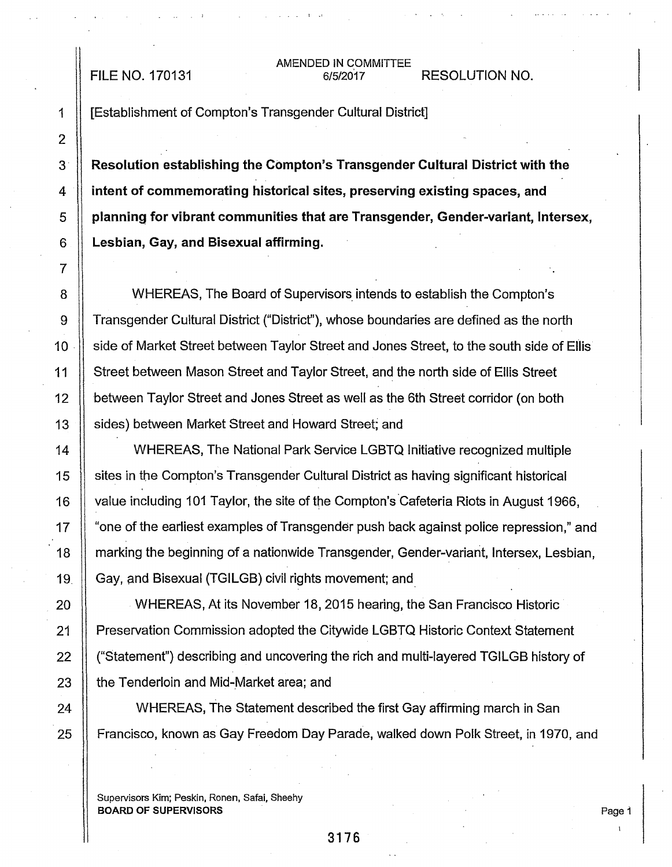#### AMENDED IN COMMITTEE FILE NO. 170131 6/5/2017 RESOLUTION NO.

1 [Establishment of Compton's Transgender Cultural District]

3 · Resolution establishing the Compton's Transgender Cultural District with the 4 **intent of commemorating historical sites, preserving existing spaces, and**  $5$   $\parallel$  planning for vibrant communities that are Transgender, Gender-variant, Intersex, 6 Lesbian, Gay, and Bisexual affirming.

8 WHEREAS, The Board of Supervisors intends to establish the Compton's 9 Transgender Cultural District ("District"), whose boundaries are defined as the north 10 **I** side of Market Street between Taylor Street and Jones Street, to the south side of Ellis 11 Street between Mason Street and Taylor Street, and the north side of Ellis Street 12 | between Taylor Street and Jones Street as well as the 6th Street corridor (on both 13 Sides) between Market Street and Howard Street; and

14 WHEREAS, The National Park Service LGBTQ Initiative recognized multiple 15 Sites in the Compton's Transgender Cultural District as having significant historical 16 | value including 101 Taylor, the site of the Compton's Cafeteria Riots in August 1966, 17 | "one of the earliest examples of Transgender push back against police repression," and 18 | marking the beginning of a nationwide Transgender, Gender-variant, Intersex, Lesbian, 19. Gay, and Bisexual (TGILGB) civil rights movement; and

20 WHEREAS, At its November 18, 2015 hearing, the San Francisco Historic 21 | Preservation Commission adopted the Citywide LGBTQ Historic Context Statement 22 | ("Statement") describing and uncovering the rich and multi-layered TGILGB history of 23 **the Tenderloin and Mid-Market area; and** 

24 II WHEREAS, The Statement described the first Gay affirming march in San 25 | Francisco, known as Gay Freedom Day Parade, walked down Polk Street, in 1970, and

Supervisors Kim; Peskin, Ronen, Safai, Sheehy BOARD OF SUPERVISORS

Page 1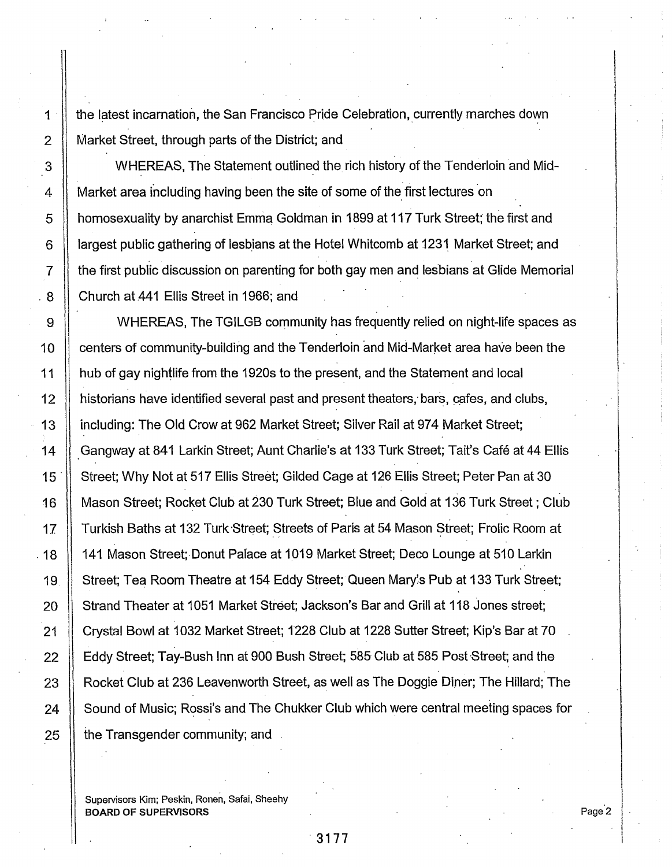1  $||$  the latest incarnation, the San Francisco Pride Celebration, currently marches down 2 Market Street, through parts of the District; and

3 WHEREAS, The Statement outlined the rich history of the Tenderloin and Mid-4 | Market area including having been the site of some of the first lectures on 5 **H** homosexuality by anarchist Emma Goldman in 1899 at 117 Turk Street; the first and 6 | largest public gathering of lesbians at the Hotel Whitcomb at 1231 Market Street; and 7 the first public discussion on parenting for both gay men and lesbians at Glide Memorial 8 | Church at 441 Ellis Street in 1966; and

9 10 WHEREAS, The TGILGB community has frequently relied on night-life spaces as 10 | centers of community-building and the Tenderloin and Mid-Market area have been the 11 hub of gay nightlife from the 1920s to the present, and the Statement and local 12  $\parallel$  historians have identified several past and present theaters, bars, cafes, and clubs, 13 | including: The Old Crow at 962 Market Street; Silver Rail at 974 Market Street; 14 | Gangway at 841 Larkin Street; Aunt Charlie's at 133 Turk Street; Tait's Café at 44 Ellis 15 <sup>1</sup> Street; Why Not at 517 Ellis Street; Gilded Cage at 126 Ellis Street; Peter Pan at 30 16 Mason Street; Rocket Club at 230 Turk Street; Blue and Gold at 136 Turk Street ; Club 17 | Turkish Baths at 132 Turk Street; Streets of Paris at 54 Mason Street; Frolic Room at . 18  $\,$  141 Mason Street; Donut Palace at 1019 Market Street; Deco Lounge at 510 Larkin 19 Street; Tea Room Theatre at 154 Eddy Street; Queen Mary's Pub at 133 Turk Street; 20 | Strand Theater at 1051 Market Street; Jackson's Bar and Grill at 118 Jones street; 21 | Crystal Bowl at 1032 Market Street; 1228 Club at 1228 Sutter Street; Kip's Bar at 70 22 | Eddy Street; Tay-Bush Inn at 900 Bush Street; 585 Club at 585 Post Street; and the 23 | Rocket Club at 236 Leavenworth Street, as well as The Doggie Diner; The Hillard; The 24 Sound of Music; Rossi's and The Chukker Club which were central meeting spaces for 25 **the Transgender community; and** 

Supervisors Kim; Peskin, Ronen, Safai, Sheehy BOARD OF SUPERVISORS

Page<sup>2</sup>

 $\mathsf{I}$  $\left| . \right|$ i .  $\vert$ I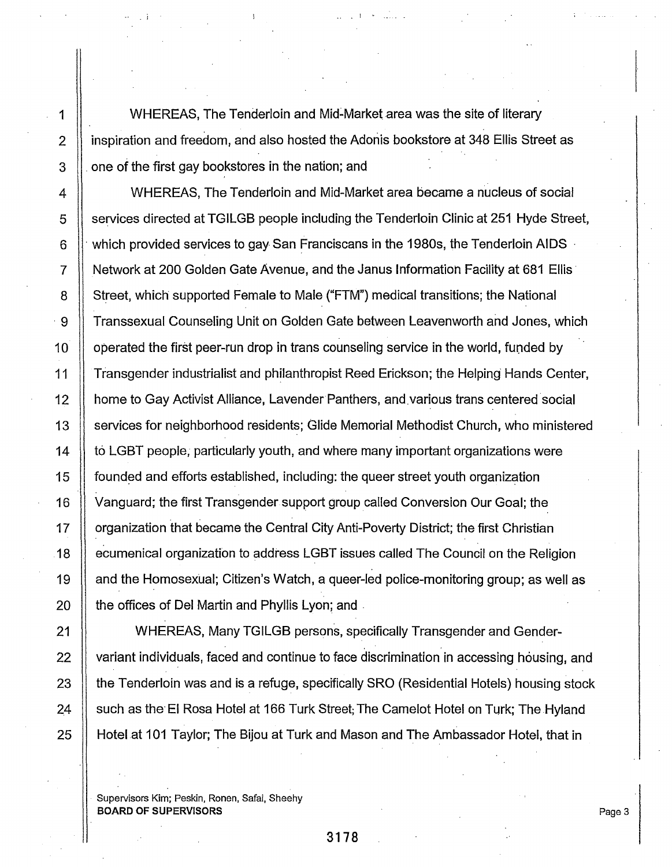1 | WHEREAS, The Tenderloin and Mid-Market area was the site of literary 2 **ignostration and freedom, and also hosted the Adonis bookstore at 348 Ellis Street as**  $3$   $\parallel$  one of the first gay bookstores in the nation; and

. *i* ! •

4 WHEREAS, The Tenderloin and Mid-Market area became a nucleus of social 5 Services directed at TGILGB people including the Tenderloin Clinic at 251 Hyde Street, 6  $\parallel$  which provided services to gay San Franciscans in the 1980s, the Tenderloin AIDS 7  $\parallel$  Network at 200 Golden Gate Avenue, and the Janus Information Facility at 681 Ellis 8 Street, which supported Female to Male ("FTM") medical transitions; the National · 9 Transsexual Counseling Unit on Golden Gate between Leavenworth and Jones, which 10 | operated the first peer-run drop in trans counseling service in the world, funded by 11 Transgender industrialist and philanthropist Reed Erickson; the Helping' Hands Center, 12 | home to Gay Activist Alliance, Lavender Panthers, and various trans centered social 13 Services for neighborhood residents; Glide Memorial Methodist Church, who ministered 14 to LGBT people, particularly youth, and where many important organizations were 15 II founded and efforts established, including: the queer street youth organization 16 Vanguard; the first Transgender support group called Conversion Our Goal; the 17 | organization that became the Central City Anti-Poverty District; the first Christian 18 | ecumenical organization to address LGBT issues called The Council on the Religion 19 and the Homosexual; Citizen's Watch, a queer-led police-monitoring group; as well as 20 **the offices of Del Martin and Phyllis Lyon; and** 

21 WHEREAS, Many TGILGB persons, specifically Transgender and Gender-22 | variant individuals, faced and continue to face discrimination in accessing housing, and 23 the Tenderloin was and is a refuge, specifically SRO (Residential Hotels) housing stock 24 | such as the El Rosa Hotel at 166 Turk Street; The Camelot Hotel on Turk; The Hyland 25 | Hotel at 101 Taylor; The Bijou at Turk and Mason and The Ambassador Hotel, that in

Supervisors Kim; Peskin, Ronen, Safai, Sheehy BOARD OF SUPERVISORS

Page 3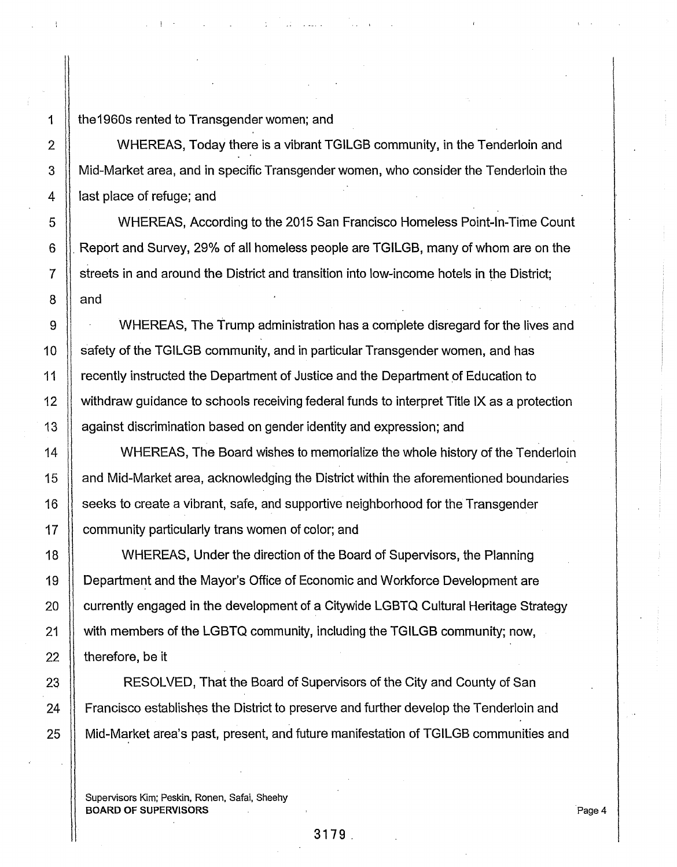1 | the 1960s rented to Transgender women; and

2 Solution 2 WHEREAS, Today there is a vibrant TGILGB community, in the Tenderloin and 3 Mid-Market area, and in specific Transgender women, who consider the Tenderloin the 4 | last place of refuge; and

5 WHEREAS, According to the 2015 San Francisco Homeless Point-In-Time Count 6 . Report and Survey, 29% of all homeless people are TGILGB, many of whom are on the 7 Streets in and around the District and transition into low-income hotels in the District;  $8$  || and

9 WHEREAS, The Trump administration has a complete disregard for the lives and 10 safety of the TGILGB community, and in particular Transgender women, and has 11 | recently instructed the Department of Justice and the Department of Education to 12 withdraw guidance to schools receiving federal funds to interpret Title IX as a protection 13 | against discrimination based on gender identity and expression; and

14 WHEREAS, The Board wishes to memorialize the whole history of the Tenderloin 15 and Mid-Market area, acknowledging the District within the aforementioned boundaries 16  $\parallel$  seeks to create a vibrant, safe, and supportive neighborhood for the Transgender 17 | community particularly trans women of color; and

18 WHEREAS, Under the direction of the Board of Supervisors, the Planning 19 Department and the Mayor's Office of Economic and Workforce Development are 20 | currently engaged in the development of a Citywide LGBTQ Cultural Heritage Strategy 21 with members of the LGBTQ community, including the TGILGB community; now, 22  $\parallel$  therefore, be it

23 || RESOLVED, That the Board of Supervisors of the City and County of San 24 | Francisco establishes the District to preserve and further develop the Tenderloin and 25 Mid-Market area's past, present, and future manifestation of TGILGB communities and

Supervisors Kim; Peskin, Ronen, Safai, Sheehy BOARD OF SUPERVISORS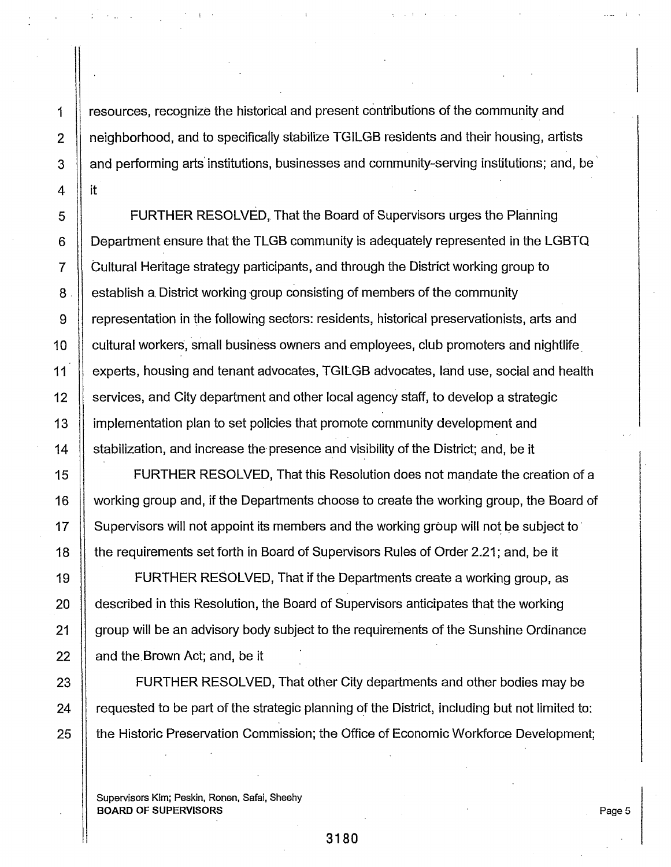1 resources, recognize the historical and present contributions of the community and 2 | neighborhood, and to specifically stabilize TGILGB residents and their housing, artists 3  $\parallel$  and performing arts institutions, businesses and community-serving institutions; and, be

. I '

5 Supersity FURTHER RESOLVED, That the Board of Supervisors urges the Planning 6 Department ensure that the TLGB community is adequately represented in the LGBTQ 7 Cultural Heritage strategy participants, and through the District working group to  $8$   $\parallel$  establish a District working group consisting of members of the community 9 representation in the following sectors: residents, historical preservationists, arts and 10 | cultural workers, small business owners and employees, club promoters and nightlife 11 | experts, housing and tenant advocates, TGILGB advocates, land use, social and health 12 Services, and City department and other local agency staff, to develop a strategic 13 implementation plan to set policies that promote community development and 14 Stabilization, and increase the presence and visibility of the District; and, be it

15 FURTHER RESOLVED, That this Resolution does not mandate the creation of a 16 | working group and, if the Departments choose to create the working group, the Board of 17 | Supervisors will not appoint its members and the working group will not be subject to 18 **the requirements set forth in Board of Supervisors Rules of Order 2.21; and, be it** 

19 FURTHER RESOLVED, That if the Departments create a working group, as 20 **described in this Resolution, the Board of Supervisors anticipates that the working** 21 | group will be an advisory body subject to the requirements of the Sunshine Ordinance 22  $\parallel$  and the Brown Act; and, be it

23 **FURTHER RESOLVED, That other City departments and other bodies may be**  $24$   $\parallel$  requested to be part of the strategic planning of the District, including but not limited to: 25 | the Historic Preservation Commission; the Office of Economic Workforce Development;

Supervisors Kim; Peskin, Ronen, Safai, Sheehy BOARD OF SUPERVISORS

Page 5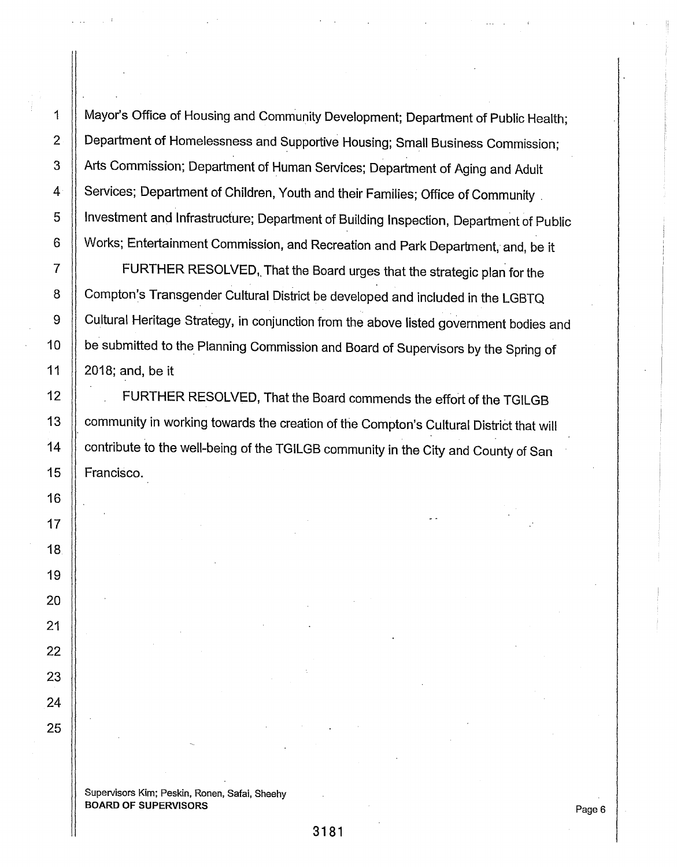1 | Mayor's Office of Housing and Community Development; Department of Public Health; 2 | Department of Homelessness and Supportive Housing; Small Business Commission; 3 | Arts Commission; Department of Human Services; Department of Aging and Adult 4 | Services; Department of Children, Youth and their Families; Office of Community 5 | Investment and Infrastructure; Department of Building Inspection, Department of Public 6 Works; Entertainment Commission, and Recreation and Park Department, and, be it

7 | FURTHER RESOLVED, That the Board urges that the strategic plan for the 8 Compton's Transgender Cultural District be developed and included in the LGBTQ 9 Cultural Heritage Strategy, in conjunction from the above listed government bodies and be submitted to the. Planning Commission and Board of Supervisors by the Spring of 2018; and, be it

12 | FURTHER RESOLVED, That the Board commends the effort of the TGILGB 13 | community in working towards the creation of the Compton's Cultural District that will 14 | contribute to the well-being of the TGILGB community in the City and County of San 15 Francisco.

10

11

16

17

18

19

20

21

22

23

24

25

 $\cdot$  |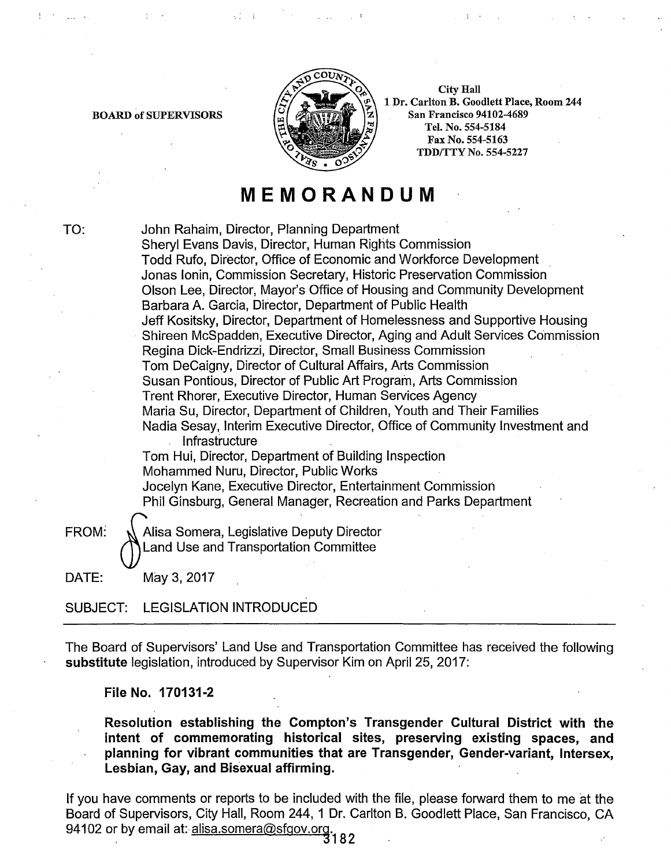

City Hall 1 Dr. Carlton B. Goodlett Place, Room 244 San Francisco 94102-4689 Tel. No. 554-5184 Fax No. 554-5163 TDD/TTY No. 554-5227

# **MEMORANDUM**

TO:

BOARD of SUPERVISORS

John Rahaim, Director, Planning Department Sheryl Evans Davis, Director, Human Rights Commission Todd Rufo, Director, Office of Economic and Workforce Development Jonas lonin, Commission Secretary, Historic Preservation Commission Olson Lee, Director, Mayor's Office of Housing and Community Development Barbara A. Garcia, Director, Department of Public Health Jeff Kositsky, Director, Department of Homelessness and Supportive Housing Shireen McSpadden, Executive Director, Aging and Adult Services Commission Regina Dick-Endrizzi, Director, Small Business Commission Tom DeCaigny, Director of Cultural Affairs, Arts Commission Susan Pontious, Director of Public Art Program, Arts Commission Trent Rhorer, Executive Director, Human Services Agency Maria Su, Director, Department of Children, Youth and Their Families Nadia Sesay, Interim Executive Director, Office of Community Investment and Infrastructure Tom Hui, Director, Department of Building Inspection Mohammed Nuru, Director, Public Works Jocelyn Kane, Executive Director, Entertainment Commission Phil Ginsburg, General Manager, Recreation and Parks Department

FROM: N Alisa Somera, Legislative Deputy Director Land Use and Transportation Committee

DATE: May 3, 2017

SUBJECT: LEGISLATION INTRODUCED

The Board of Supervisors' Land Use and Transportation Committee has received the following substitute legislation, introduced by Supervisor Kim on April 25, 2017:

File No. 170131-2

Resolution establishing the Compton's Transgender Cultural District with the intent of commemorating historical sites, preserving existing spaces, and planning for vibrant communities that are Transgender, Gender-variant, lntersex, Lesbian, Gay, and Bisexual affirming.

If you have comments or reports to be included with the file, please forward them to me at the Board of Supervisors, City Hall, Room 244, 1 Dr. Carlton B. Goodlett Place, San Francisco, CA 94102 or by email at: alisa.somera@sfgov.org.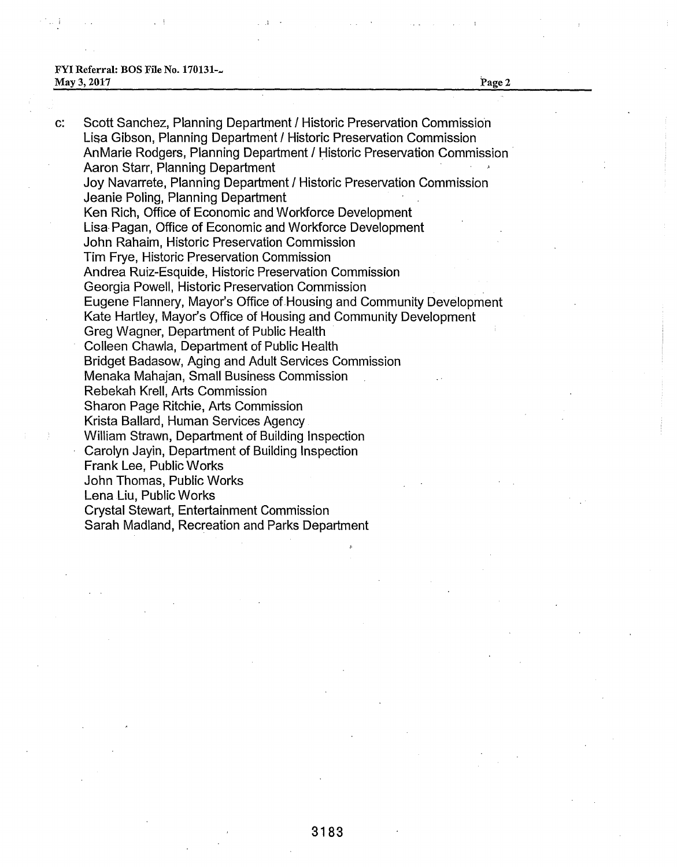#### FYI Referral: BOS File No. 170131-... May 3, 2017 **Page 2**

c: Scott Sanchez, Planning Department I Historic Preservation Commission Lisa Gibson, Planning Department / Historic Preservation Commission AnMarie Rodgers, Planning Department / Historic Preservation Commission Aaron Starr, Planning Department Joy Navarrete, Planning Department / Historic Preservation Commission Jeanie Poling, Planning Department Ken Rich, Office of Economic and Workforce Development Lisa Pagan, Office of Economic and Workforce Development John Rahaim, Historic Preservation Commission Tim Frye, Historic Preservation Commission Andrea Ruiz-Esquide, Historic Preservation Commission Georgia Powell, Historic Preservation Commission Eugene Flannery, Mayor's Office of Housing and Community Development Kate Hartley, Mayor's Office of Housing and Community Development Greg Wagner, Department of Public Health Colleen Chawla, Department of Public Health Bridget Badasow, Aging and Adult Services Commission Menaka Mahajan, Small Business Commission Rebekah Krell, Arts Commission Sharon Page Ritchie, Arts Commission Krista Ballard, Human Services Agency William Strawn, Department of Building Inspection Carolyn Jayin, Department of Building Inspection Frank Lee, Public Works John Thomas, Public Works Lena Liu, Public Works Crystal Stewart, Entertainment Commission Sarah Madland, Recreation and Parks Department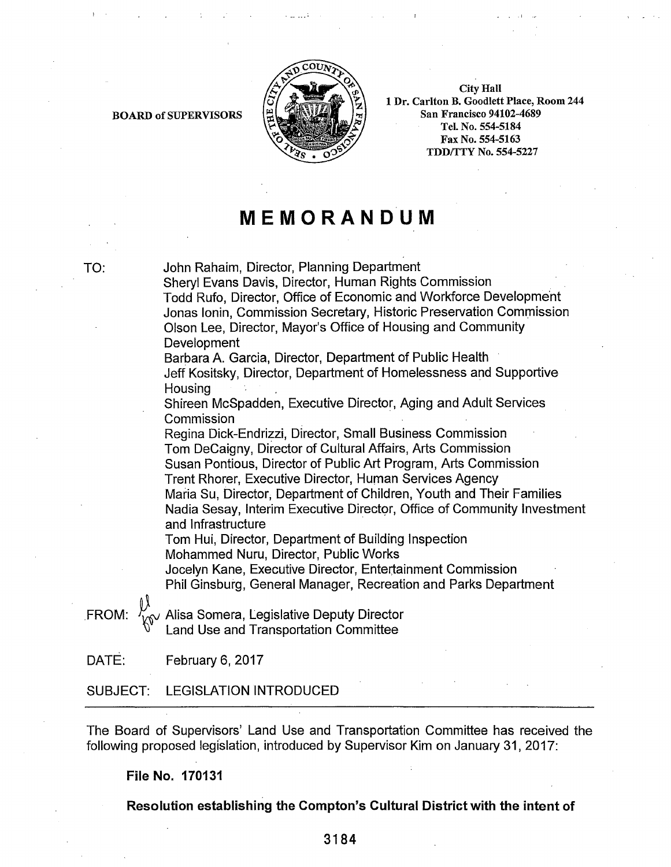

City Hall 1 Dr. Carlton B. Goodlett Place, Room 244 San Francisco 94102-4689 Tel. No. 554-5184 Fax No. 554-5163 TDD/TTY No. 554-5227

## **MEMORANDUM**

TO: John Rahaim, Director, Planning Department

Sheryl Evans Davis, Director, Human Rights Commission Todd Rufo, Director, Office of Economic and Workforce Development Jonas lonin, Commission Secretary, Historic Preservation Commission Olson Lee, Director, Mayor's Office of Housing and Community Development

Barbara A. Garcia, Director, Department of Public Health

Jeff Kositsky, Director, Department of Homelessness and Supportive **Housing** 

Shireen McSpadden, Executive Director, Aging and Adult Services Commission

Regina Dick-Endrizzi, Director, Small Business Commission Tom DeCaigny, Director of Cultural Affairs, Arts Commission Susan Pontious, Director of Public Art Program, Arts Commission Trent Rhorer, Executive Director, Human Services Agency Maria Su, Director, Department of Children, Youth and Their Families Nadia Sesay, Interim Executive Director, Office of Community Investment and Infrastructure

Tom Hui, Director, Department of Building Inspection Mohammed Nuru, Director, Public Works

Jocelyn Kane, Executive Director, Entertainment Commission Phil Ginsburg, General Manager, Recreation and Parks Department

FROM:  $\frac{\mathcal{V}}{\mathcal{V}^{\mathcal{N}}}$  Alisa Somera, Legislative Deputy Director Land Use and Transportation Committee

DATE: February 6, 2017

BOARD of SUPERVISORS

SUBJECT: LEGISLATION INTRODUCED

The Board of Supervisors' Land Use and Transportation Committee has received the following proposed legislation, introduced by Supervisor Kim on January 31, 2017:

**File No. 170131** 

**Resolution establishing the Compton's Cultural District with the intent of** 

**3184**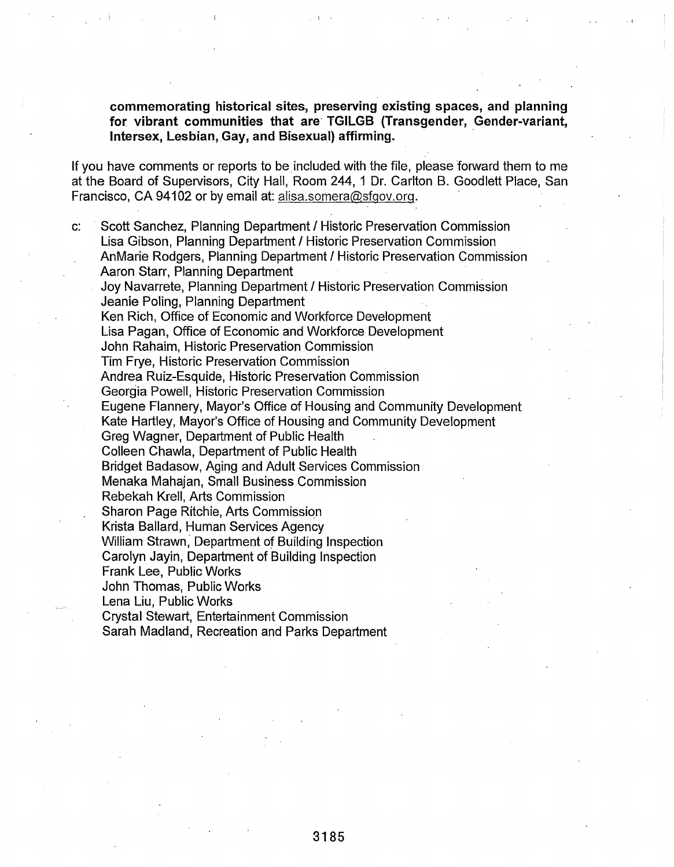commemorating historical sites, preserving existing spaces, and planning for vibrant communities that are TGILGB (Transgender, Gender-variant, lntersex, Lesbian, Gay, and Bisexual) affirming. ·

If you have comments or reports to be included with the file, please forward them to me at the Board of Supervisors, City Hall, Room 244, 1 Dr. Carlton B. Goodlett Place, San Francisco, CA 94102 or by email at: alisa.somera@sfgov.org.

c: Scott Sanchez, Planning Department I Historic Preservation Commission Lisa Gibson, Planning Department I Historic Preservation Commission AnMarie Rodgers, Planning Department I Historic Preservation Commission Aaron Starr, Planning Department Joy Navarrete, Planning Department I Historic Preservation Commission Jeanie Poling, Planning Department Ken Rich, Office of Economic and Workforce Development Lisa Pagan, Office of Economic and Workforce Development John Rahaim, Historic Preservation Commission Tim Frye, Historic Preservation Commission Andrea Ruiz-Esquide, Historic Preservation Commission Georgia Powell, Historic Preservation Commission Eugene Flannery, Mayor's Office of Housing and Community Development Kate Hartley, Mayor's Office of Housing and Community Development Greg Wagner, Department of Public Health Colleen Chawla, Department of Public Health Bridget Badasow, Aging and Adult Services Commission Menaka Mahajan, Small Business Commission Rebekah Krell, Arts Commission Sharon Page Ritchie, Arts Commission Krista Ballard, Human Services Agency William Strawn, Department of Building Inspection Carolyn Jayin, Department of Building Inspection Frank Lee, Public Works John Thomas, Public Works Lena Liu, Public Works Crystal Stewart, Entertainment Commission Sarah Madland, Recreation and Parks Department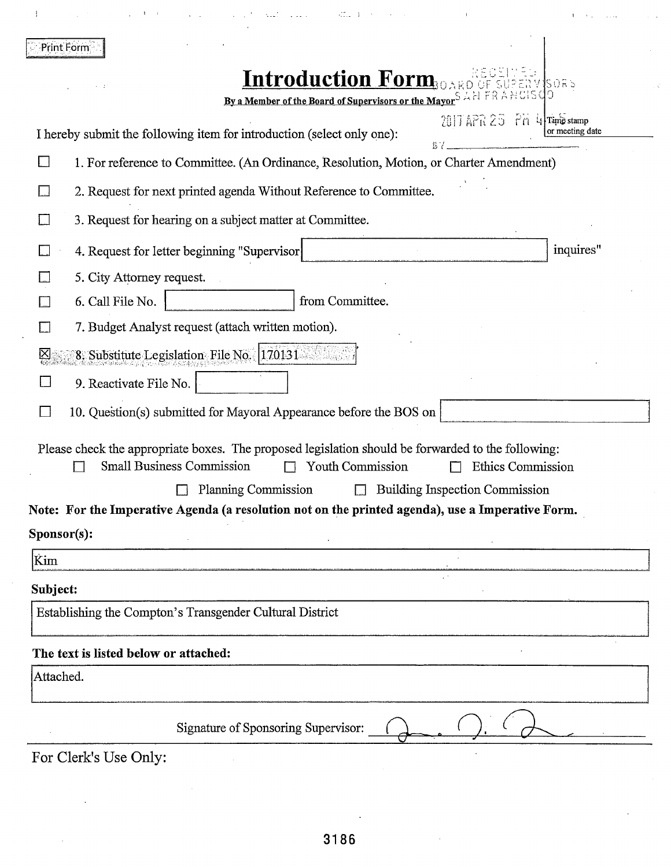|           | Print Form                                                                                                                                                                                                                                                       |  |  |  |  |
|-----------|------------------------------------------------------------------------------------------------------------------------------------------------------------------------------------------------------------------------------------------------------------------|--|--|--|--|
|           | <b>Introduction Form.</b><br>150R <sub>5</sub><br>By a Member of the Board of Supervisors or the Mayor <sup>S</sup> AN FRANCISCO                                                                                                                                 |  |  |  |  |
|           | $2017$ APR $25$ Pm 4 Time stamp<br>or meeting date<br>I hereby submit the following item for introduction (select only one):                                                                                                                                     |  |  |  |  |
| $\Box$    | 1. For reference to Committee. (An Ordinance, Resolution, Motion, or Charter Amendment)                                                                                                                                                                          |  |  |  |  |
|           | 2. Request for next printed agenda Without Reference to Committee.                                                                                                                                                                                               |  |  |  |  |
|           | 3. Request for hearing on a subject matter at Committee.                                                                                                                                                                                                         |  |  |  |  |
|           | inquires"<br>4. Request for letter beginning "Supervisor                                                                                                                                                                                                         |  |  |  |  |
|           | 5. City Attorney request.                                                                                                                                                                                                                                        |  |  |  |  |
|           | 6. Call File No.<br>from Committee.                                                                                                                                                                                                                              |  |  |  |  |
|           | 7. Budget Analyst request (attach written motion).                                                                                                                                                                                                               |  |  |  |  |
|           | 8. Substitute Legislation File No. 170131                                                                                                                                                                                                                        |  |  |  |  |
|           | 9. Reactivate File No.                                                                                                                                                                                                                                           |  |  |  |  |
|           | 10. Question(s) submitted for Mayoral Appearance before the BOS on                                                                                                                                                                                               |  |  |  |  |
|           | Please check the appropriate boxes. The proposed legislation should be forwarded to the following:<br><b>Small Business Commission</b><br>Youth Commission<br><b>Ethics Commission</b><br>Planning Commission<br><b>Building Inspection Commission</b><br>$\Box$ |  |  |  |  |
|           | Note: For the Imperative Agenda (a resolution not on the printed agenda), use a Imperative Form.                                                                                                                                                                 |  |  |  |  |
|           | Sponsor(s):                                                                                                                                                                                                                                                      |  |  |  |  |
| Kim       |                                                                                                                                                                                                                                                                  |  |  |  |  |
| Subject:  |                                                                                                                                                                                                                                                                  |  |  |  |  |
|           | Establishing the Compton's Transgender Cultural District                                                                                                                                                                                                         |  |  |  |  |
|           |                                                                                                                                                                                                                                                                  |  |  |  |  |
| Attached. | The text is listed below or attached:                                                                                                                                                                                                                            |  |  |  |  |
|           |                                                                                                                                                                                                                                                                  |  |  |  |  |
|           | Signature of Sponsoring Supervisor:                                                                                                                                                                                                                              |  |  |  |  |
|           | For Clerk's Use Only:                                                                                                                                                                                                                                            |  |  |  |  |

 $4\overset{\circ}{\dots}$  . <br> <br> 1

 $\vec{z}$ 

 $\bar{\gamma}$  ,  $\bar{\gamma}$ 

. . . .

 $\bar{A}$